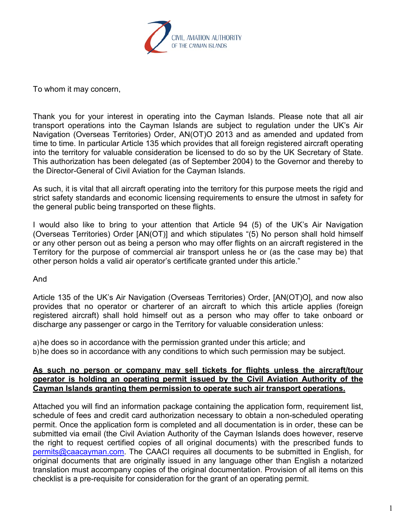

To whom it may concern,

Thank you for your interest in operating into the Cayman Islands. Please note that all air transport operations into the Cayman Islands are subject to regulation under the UK's Air Navigation (Overseas Territories) Order, AN(OT)O 2013 and as amended and updated from time to time. In particular Article 135 which provides that all foreign registered aircraft operating into the territory for valuable consideration be licensed to do so by the UK Secretary of State. This authorization has been delegated (as of September 2004) to the Governor and thereby to the Director-General of Civil Aviation for the Cayman Islands.

As such, it is vital that all aircraft operating into the territory for this purpose meets the rigid and strict safety standards and economic licensing requirements to ensure the utmost in safety for the general public being transported on these flights.

I would also like to bring to your attention that Article 94 (5) of the UK's Air Navigation (Overseas Territories) Order [AN(OT)] and which stipulates "(5) No person shall hold himself or any other person out as being a person who may offer flights on an aircraft registered in the Territory for the purpose of commercial air transport unless he or (as the case may be) that other person holds a valid air operator's certificate granted under this article."

And

Article 135 of the UK's Air Navigation (Overseas Territories) Order, [AN(OT)O], and now also provides that no operator or charterer of an aircraft to which this article applies (foreign registered aircraft) shall hold himself out as a person who may offer to take onboard or discharge any passenger or cargo in the Territory for valuable consideration unless:

a)he does so in accordance with the permission granted under this article; and b)he does so in accordance with any conditions to which such permission may be subject.

## **As such no person or company may sell tickets for flights unless the aircraft/tour operator is holding an operating permit issued by the Civil Aviation Authority of the Cayman Islands granting them permission to operate such air transport operations.**

Attached you will find an information package containing the application form, requirement list, schedule of fees and credit card authorization necessary to obtain a non-scheduled operating permit. Once the application form is completed and all documentation is in order, these can be submitted via email (the Civil Aviation Authority of the Cayman Islands does however, reserve the right to request certified copies of all original documents) with the prescribed funds to [permits@caacayman.com.](mailto:permits@caacayman.com) The CAACI requires all documents to be submitted in English, for original documents that are originally issued in any language other than English a notarized translation must accompany copies of the original documentation. Provision of all items on this checklist is a pre-requisite for consideration for the grant of an operating permit.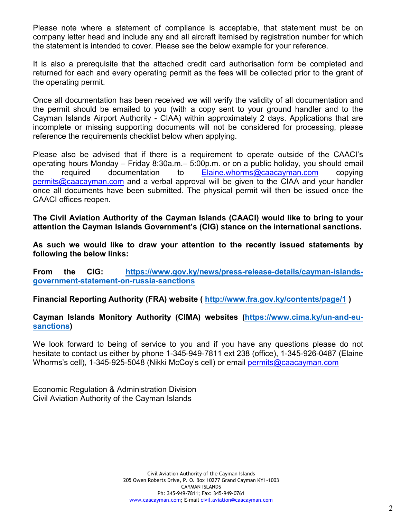Please note where a statement of compliance is acceptable, that statement must be on company letter head and include any and all aircraft itemised by registration number for which the statement is intended to cover. Please see the below example for your reference.

It is also a prerequisite that the attached credit card authorisation form be completed and returned for each and every operating permit as the fees will be collected prior to the grant of the operating permit.

Once all documentation has been received we will verify the validity of all documentation and the permit should be emailed to you (with a copy sent to your ground handler and to the Cayman Islands Airport Authority - CIAA) within approximately 2 days. Applications that are incomplete or missing supporting documents will not be considered for processing, please reference the requirements checklist below when applying.

Please also be advised that if there is a requirement to operate outside of the CAACI's operating hours Monday – Friday 8:30a.m.– 5:00p.m. or on a public holiday, you should email the required documentation to [Elaine.whorms@caacayman.com](mailto:Elaine.whorms@caacayman.com) copying  $permits@caacayman.com$  and a verbal approval will be given to the CIAA and your handler once all documents have been submitted. The physical permit will then be issued once the CAACI offices reopen.

**The Civil Aviation Authority of the Cayman Islands (CAACI) would like to bring to your attention the Cayman Islands Government's (CIG) stance on the international sanctions.** 

**As such we would like to draw your attention to the recently issued statements by following the below links:**

**From the CIG: [https://www.gov.ky/news/press-release-details/cayman-islands](https://www.gov.ky/news/press-release-details/cayman-islands-government-statement-on-russia-sanctions)[government-statement-on-russia-sanctions](https://www.gov.ky/news/press-release-details/cayman-islands-government-statement-on-russia-sanctions)**

**Financial Reporting Authority (FRA) website (<http://www.fra.gov.ky/contents/page/1> )** 

# **Cayman Islands Monitory Authority (CIMA) websites [\(https://www.cima.ky/un-and-eu](https://www.cima.ky/un-and-eu-sanctions)[sanctions\)](https://www.cima.ky/un-and-eu-sanctions)**

We look forward to being of service to you and if you have any questions please do not hesitate to contact us either by phone 1-345-949-7811 ext 238 (office), 1-345-926-0487 (Elaine Whorms's cell), 1-345-925-5048 (Nikki McCoy's cell) or email [permits@caacayman.com](mailto:permits@caacayman.com)

Economic Regulation & Administration Division Civil Aviation Authority of the Cayman Islands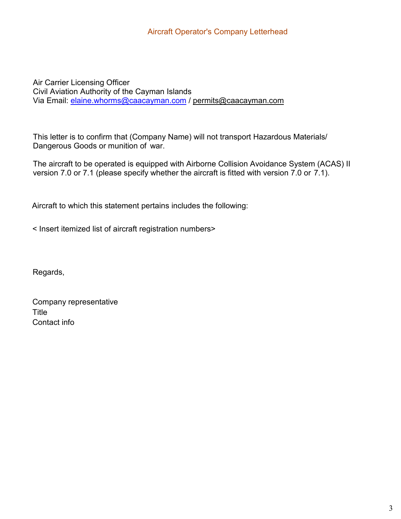Air Carrier Licensing Officer Civil Aviation Authority of the Cayman Islands Via Email: [elaine.whorms@caacayman.com](mailto:elaine.whorms@caacayman.com) / [permits@caacayman.com](mailto:permits@caacayman.com)

This letter is to confirm that (Company Name) will not transport Hazardous Materials/ Dangerous Goods or munition of war.

The aircraft to be operated is equipped with Airborne Collision Avoidance System (ACAS) II version 7.0 or 7.1 (please specify whether the aircraft is fitted with version 7.0 or 7.1).

Aircraft to which this statement pertains includes the following:

< Insert itemized list of aircraft registration numbers>

Regards,

Company representative **Title** Contact info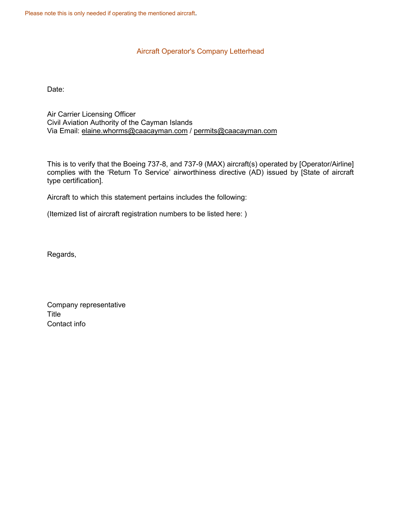Please note this is only needed if operating the mentioned aircraft.

### Aircraft Operator's Company Letterhead

Date:

Air Carrier Licensing Officer Civil Aviation Authority of the Cayman Islands Via Email: [elaine.whorms@caacayman.com](mailto:elain.whorms@caacayman.com) / [permits@caacayman.com](mailto:permits@caacayman.com)

This is to verify that the Boeing 737-8, and 737-9 (MAX) aircraft(s) operated by [Operator/Airline] complies with the 'Return To Service' airworthiness directive (AD) issued by [State of aircraft type certification].

Aircraft to which this statement pertains includes the following:

(Itemized list of aircraft registration numbers to be listed here: )

Regards,

Company representative Title Contact info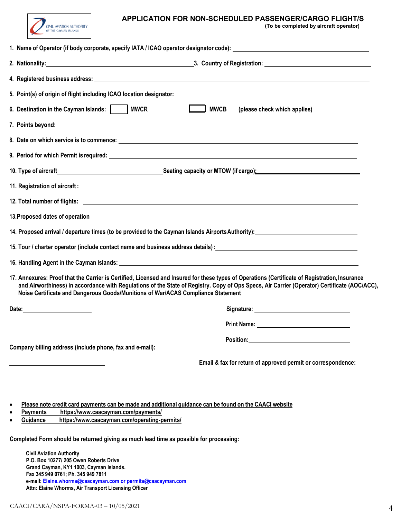

# **APPLICATION FOR NON-SCHEDULED PASSENGER/CARGO FLIGHT/S**<br>(To be completed by aircraft operator)

|  |  | (To be completed by aircraft operator) |  |  |  |  |
|--|--|----------------------------------------|--|--|--|--|
|--|--|----------------------------------------|--|--|--|--|

| 6. Destination in the Cayman Islands:     MWCR                                                                                                                                                                                                                                                                                                                   | <b>MWCB</b><br>(please check which applies)                                                                                                                                                                                          |
|------------------------------------------------------------------------------------------------------------------------------------------------------------------------------------------------------------------------------------------------------------------------------------------------------------------------------------------------------------------|--------------------------------------------------------------------------------------------------------------------------------------------------------------------------------------------------------------------------------------|
|                                                                                                                                                                                                                                                                                                                                                                  |                                                                                                                                                                                                                                      |
|                                                                                                                                                                                                                                                                                                                                                                  |                                                                                                                                                                                                                                      |
|                                                                                                                                                                                                                                                                                                                                                                  |                                                                                                                                                                                                                                      |
|                                                                                                                                                                                                                                                                                                                                                                  |                                                                                                                                                                                                                                      |
|                                                                                                                                                                                                                                                                                                                                                                  |                                                                                                                                                                                                                                      |
|                                                                                                                                                                                                                                                                                                                                                                  |                                                                                                                                                                                                                                      |
|                                                                                                                                                                                                                                                                                                                                                                  |                                                                                                                                                                                                                                      |
| 14. Proposed arrival / departure times (to be provided to the Cayman Islands Airports Authority): 14. Proposed arrival / departure times (to be provided to the Cayman Islands Airports Authority):                                                                                                                                                              |                                                                                                                                                                                                                                      |
| 15. Tour / charter operator (include contact name and business address details): 15. Tour / charter operator (include contact name and business address details):                                                                                                                                                                                                |                                                                                                                                                                                                                                      |
|                                                                                                                                                                                                                                                                                                                                                                  |                                                                                                                                                                                                                                      |
| 17. Annexures: Proof that the Carrier is Certified, Licensed and Insured for these types of Operations (Certificate of Registration, Insurance<br>Noise Certificate and Dangerous Goods/Munitions of War/ACAS Compliance Statement                                                                                                                               | and Airworthiness) in accordance with Regulations of the State of Registry. Copy of Ops Specs, Air Carrier (Operator) Certificate (AOC/ACC),                                                                                         |
|                                                                                                                                                                                                                                                                                                                                                                  | Signature: <u>state and the state of the state of the state of the state of the state of the state of the state of the state of the state of the state of the state of the state of the state of the state of the state of the s</u> |
|                                                                                                                                                                                                                                                                                                                                                                  |                                                                                                                                                                                                                                      |
| Company billing address (include phone, fax and e-mail):                                                                                                                                                                                                                                                                                                         |                                                                                                                                                                                                                                      |
|                                                                                                                                                                                                                                                                                                                                                                  | Email & fax for return of approved permit or correspondence:                                                                                                                                                                         |
| Please note credit card payments can be made and additional guidance can be found on the CAACI website<br>https://www.caacayman.com/payments/<br><b>Payments</b><br>https://www.caacayman.com/operating-permits/<br><b>Guidance</b><br>Completed Form should be returned giving as much lead time as possible for processing:<br><b>Civil Aviation Authority</b> |                                                                                                                                                                                                                                      |
| P.O. Box 10277/205 Owen Roberts Drive<br>Grand Cayman, KY1 1003, Cayman Islands.<br>Fax 345 949 0761; Ph. 345 949 7811<br>e-mail: Elaine.whorms@caacayman.com or permits@caacayman.com                                                                                                                                                                           |                                                                                                                                                                                                                                      |

**Attn: Elaine Whorms, Air Transport Licensing Officer**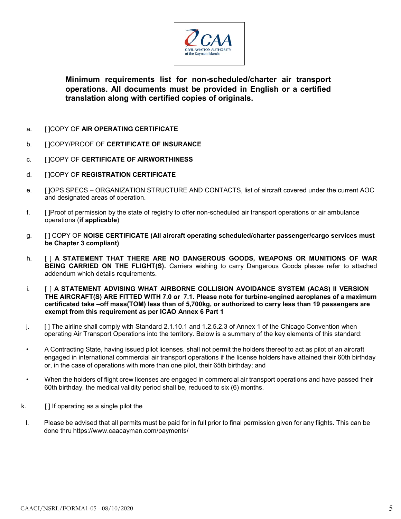

**Minimum requirements list for non-scheduled/charter air transport operations. All documents must be provided in English or a certified translation along with certified copies of originals.**

- a. [ ]COPY OF **AIR OPERATING CERTIFICATE**
- b. [ ]COPY/PROOF OF **CERTIFICATE OF INSURANCE**
- c. [ ]COPY OF **CERTIFICATE OF AIRWORTHINESS**
- d. [ ]COPY OF **REGISTRATION CERTIFICATE**
- e. [ ]OPS SPECS ORGANIZATION STRUCTURE AND CONTACTS, list of aircraft covered under the current AOC and designated areas of operation.
- f. [ ]Proof of permission by the state of registry to offer non-scheduled air transport operations or air ambulance operations (**if applicable**)
- g. [ ] COPY OF **NOISE CERTIFICATE (All aircraft operating scheduled/charter passenger/cargo services must be Chapter 3 compliant)**
- h. [ ] **A STATEMENT THAT THERE ARE NO DANGEROUS GOODS, WEAPONS OR MUNITIONS OF WAR BEING CARRIED ON THE FLIGHT(S).** Carriers wishing to carry Dangerous Goods please refer to attached addendum which details requirements.
- i. [ ] **A STATEMENT ADVISING WHAT AIRBORNE COLLISION AVOIDANCE SYSTEM (ACAS) II VERSION THE AIRCRAFT(S) ARE FITTED WITH 7.0 or 7.1. Please note for turbine-engined aeroplanes of a maximum certificated take –off mass(TOM) less than of 5,700kg, or authorized to carry less than 19 passengers are exempt from this requirement as per ICAO Annex 6 Part 1**
- j. [] The airline shall comply with Standard 2.1.10.1 and 1.2.5.2.3 of Annex 1 of the Chicago Convention when operating Air Transport Operations into the territory. Below is a summary of the key elements of this standard:
- A Contracting State, having issued pilot licenses, shall not permit the holders thereof to act as pilot of an aircraft engaged in international commercial air transport operations if the license holders have attained their 60th birthday or, in the case of operations with more than one pilot, their 65th birthday; and
- When the holders of flight crew licenses are engaged in commercial air transport operations and have passed their 60th birthday, the medical validity period shall be, reduced to six (6) months.
- k.  $\left[\right]$  if operating as a single pilot the
- l. Please be advised that all permits must be paid for in full prior to final permission given for any flights. This can be done thru [https://www.caacayman.com/payments/](http://www.caacayman.com/payments/)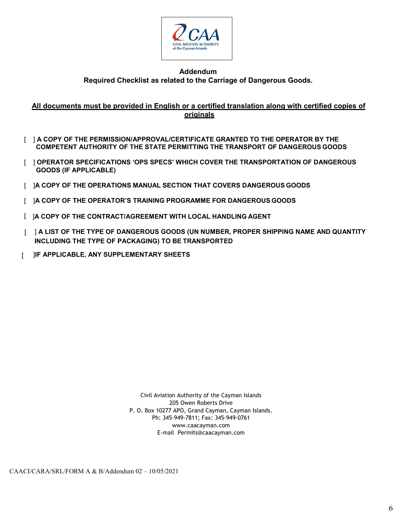

### **Addendum Required Checklist as related to the Carriage of Dangerous Goods.**

## **All documents must be provided in English or a certified translation along with certified copies of originals**

- [ ] **A COPY OF THE PERMISSION/APPROVAL/CERTIFICATE GRANTED TO THE OPERATOR BY THE COMPETENT AUTHORITY OF THE STATE PERMITTING THE TRANSPORT OF DANGEROUS GOODS**
- [ ] **OPERATOR SPECIFICATIONS 'OPS SPECS' WHICH COVER THE TRANSPORTATION OF DANGEROUS GOODS (IF APPLICABLE)**
- [ ]**A COPY OF THE OPERATIONS MANUAL SECTION THAT COVERS DANGEROUS GOODS**
- [ ]**A COPY OF THE OPERATOR'S TRAINING PROGRAMME FOR DANGEROUS GOODS**
- [ ]**A COPY OF THE CONTRACT/AGREEMENT WITH LOCAL HANDLING AGENT**
- [ ] **A LIST OF THE TYPE OF DANGEROUS GOODS (UN NUMBER, PROPER SHIPPING NAME AND QUANTITY INCLUDING THE TYPE OF PACKAGING) TO BE TRANSPORTED**
- [ ]**IF APPLICABLE, ANY SUPPLEMENTARY SHEETS**

Civil Aviation Authority of the Cayman Islands 205 Owen Roberts Drive P. O. Box 10277 APO, Grand Cayman, Cayman Islands. Ph: 345-949-7811; Fax: 345-949-0761 [www.caacayman.com](http://www.caacayman.com/) E-mail [Permits@caacayman.com](mailto:Permits@caacayman.com)

CAACI/CARA/SRL/FORM A & B/Addendum 02 – 10/05/2021